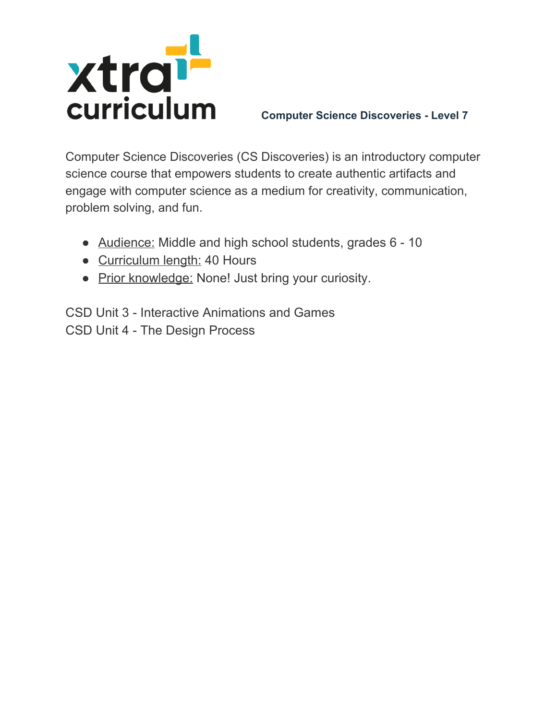

**Computer Science Discoveries - Level 7**

Computer Science Discoveries (CS Discoveries) is an introductory computer science course that empowers students to create authentic artifacts and engage with computer science as a medium for creativity, communication, problem solving, and fun.

- Audience: Middle and high school students, grades 6 10
- Curriculum length: 40 Hours
- Prior knowledge: None! Just bring your curiosity.

CSD Unit 3 - Interactive Animations and Games CSD Unit 4 - The Design Process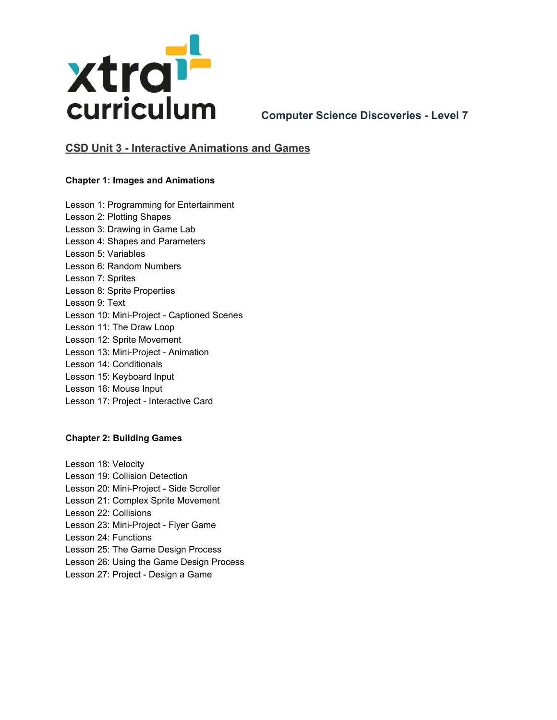

**Computer Science Discoveries - Level 7**

# **CSD Unit 3 - Interactive Animations and Games**

### **Chapter 1: Images and Animations**

Lesson 1: Programming for Entertainment Lesson 2: Plotting Shapes Lesson 3: Drawing in Game Lab Lesson 4: Shapes and Parameters Lesson 5: Variables Lesson 6: Random Numbers Lesson 7: Sprites Lesson 8: Sprite Properties Lesson 9: Text Lesson 10: Mini-Project - Captioned Scenes Lesson 11: The Draw Loop Lesson 12: Sprite Movement Lesson 13: Mini-Project - Animation Lesson 14: Conditionals Lesson 15: Keyboard Input Lesson 16: Mouse Input Lesson 17: Project - Interactive Card

## **Chapter 2: Building Games**

Lesson 18: Velocity Lesson 19: Collision Detection Lesson 20: Mini-Project - Side Scroller Lesson 21: Complex Sprite Movement Lesson 22: Collisions Lesson 23: Mini-Project - Flyer Game Lesson 24: Functions Lesson 25: The Game Design Process Lesson 26: Using the Game Design Process Lesson 27: Project - Design a Game